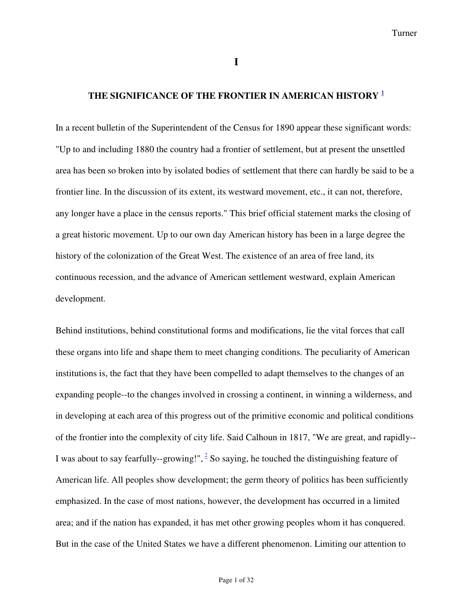**I**

## **THE SIGNIFICANCE OF THE FRONTIER IN AMERICAN HISTORY 1**

In a recent bulletin of the Superintendent of the Census for 1890 appear these significant words: "Up to and including 1880 the country had a frontier of settlement, but at present the unsettled area has been so broken into by isolated bodies of settlement that there can hardly be said to be a frontier line. In the discussion of its extent, its westward movement, etc., it can not, therefore, any longer have a place in the census reports." This brief official statement marks the closing of a great historic movement. Up to our own day American history has been in a large degree the history of the colonization of the Great West. The existence of an area of free land, its continuous recession, and the advance of American settlement westward, explain American development.

Behind institutions, behind constitutional forms and modifications, lie the vital forces that call these organs into life and shape them to meet changing conditions. The peculiarity of American institutions is, the fact that they have been compelled to adapt themselves to the changes of an expanding people--to the changes involved in crossing a continent, in winning a wilderness, and in developing at each area of this progress out of the primitive economic and political conditions of the frontier into the complexity of city life. Said Calhoun in 1817, "We are great, and rapidly-- I was about to say fearfully--growing!",  $\frac{2}{3}$  So saying, he touched the distinguishing feature of American life. All peoples show development; the germ theory of politics has been sufficiently emphasized. In the case of most nations, however, the development has occurred in a limited area; and if the nation has expanded, it has met other growing peoples whom it has conquered. But in the case of the United States we have a different phenomenon. Limiting our attention to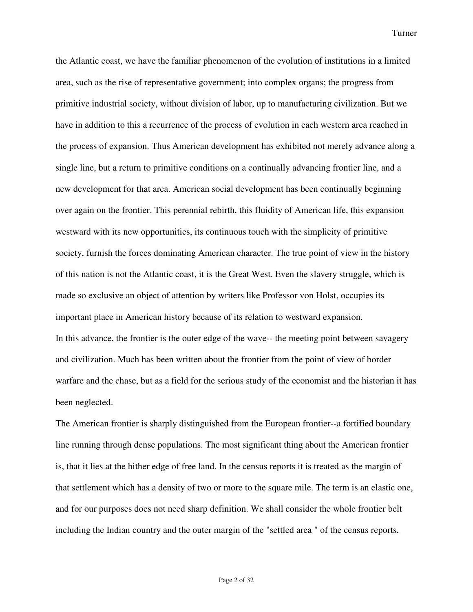the Atlantic coast, we have the familiar phenomenon of the evolution of institutions in a limited area, such as the rise of representative government; into complex organs; the progress from primitive industrial society, without division of labor, up to manufacturing civilization. But we have in addition to this a recurrence of the process of evolution in each western area reached in the process of expansion. Thus American development has exhibited not merely advance along a single line, but a return to primitive conditions on a continually advancing frontier line, and a new development for that area. American social development has been continually beginning over again on the frontier. This perennial rebirth, this fluidity of American life, this expansion westward with its new opportunities, its continuous touch with the simplicity of primitive society, furnish the forces dominating American character. The true point of view in the history of this nation is not the Atlantic coast, it is the Great West. Even the slavery struggle, which is made so exclusive an object of attention by writers like Professor von Holst, occupies its important place in American history because of its relation to westward expansion. In this advance, the frontier is the outer edge of the wave-- the meeting point between savagery and civilization. Much has been written about the frontier from the point of view of border warfare and the chase, but as a field for the serious study of the economist and the historian it has been neglected.

The American frontier is sharply distinguished from the European frontier--a fortified boundary line running through dense populations. The most significant thing about the American frontier is, that it lies at the hither edge of free land. In the census reports it is treated as the margin of that settlement which has a density of two or more to the square mile. The term is an elastic one, and for our purposes does not need sharp definition. We shall consider the whole frontier belt including the Indian country and the outer margin of the "settled area " of the census reports.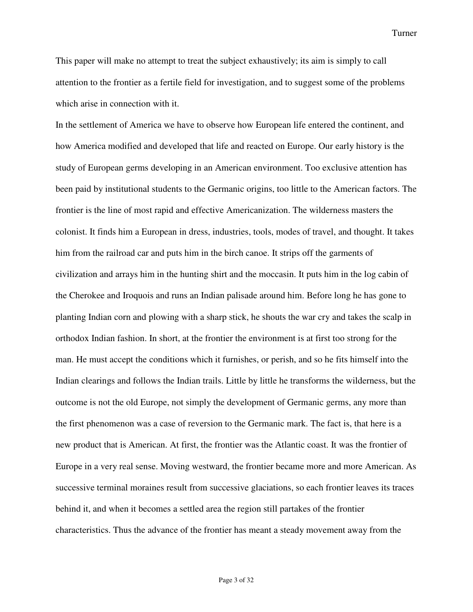This paper will make no attempt to treat the subject exhaustively; its aim is simply to call attention to the frontier as a fertile field for investigation, and to suggest some of the problems which arise in connection with it.

In the settlement of America we have to observe how European life entered the continent, and how America modified and developed that life and reacted on Europe. Our early history is the study of European germs developing in an American environment. Too exclusive attention has been paid by institutional students to the Germanic origins, too little to the American factors. The frontier is the line of most rapid and effective Americanization. The wilderness masters the colonist. It finds him a European in dress, industries, tools, modes of travel, and thought. It takes him from the railroad car and puts him in the birch canoe. It strips off the garments of civilization and arrays him in the hunting shirt and the moccasin. It puts him in the log cabin of the Cherokee and Iroquois and runs an Indian palisade around him. Before long he has gone to planting Indian corn and plowing with a sharp stick, he shouts the war cry and takes the scalp in orthodox Indian fashion. In short, at the frontier the environment is at first too strong for the man. He must accept the conditions which it furnishes, or perish, and so he fits himself into the Indian clearings and follows the Indian trails. Little by little he transforms the wilderness, but the outcome is not the old Europe, not simply the development of Germanic germs, any more than the first phenomenon was a case of reversion to the Germanic mark. The fact is, that here is a new product that is American. At first, the frontier was the Atlantic coast. It was the frontier of Europe in a very real sense. Moving westward, the frontier became more and more American. As successive terminal moraines result from successive glaciations, so each frontier leaves its traces behind it, and when it becomes a settled area the region still partakes of the frontier characteristics. Thus the advance of the frontier has meant a steady movement away from the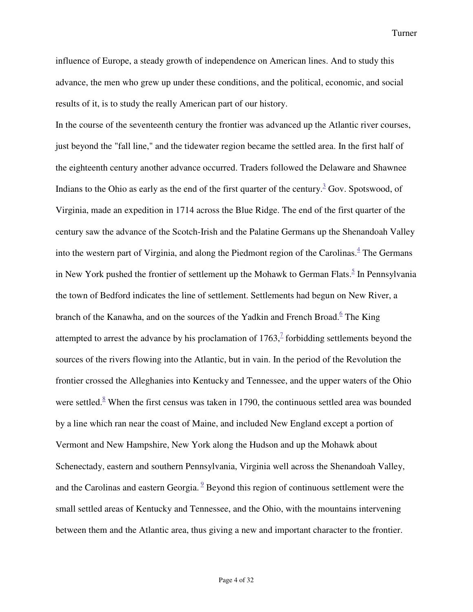influence of Europe, a steady growth of independence on American lines. And to study this advance, the men who grew up under these conditions, and the political, economic, and social results of it, is to study the really American part of our history.

In the course of the seventeenth century the frontier was advanced up the Atlantic river courses, just beyond the "fall line," and the tidewater region became the settled area. In the first half of the eighteenth century another advance occurred. Traders followed the Delaware and Shawnee Indians to the Ohio as early as the end of the first quarter of the century.<sup>3</sup> Gov. Spotswood, of Virginia, made an expedition in 1714 across the Blue Ridge. The end of the first quarter of the century saw the advance of the Scotch-Irish and the Palatine Germans up the Shenandoah Valley into the western part of Virginia, and along the Piedmont region of the Carolinas.<sup>4</sup> The Germans in New York pushed the frontier of settlement up the Mohawk to German Flats.<sup>5</sup> In Pennsylvania the town of Bedford indicates the line of settlement. Settlements had begun on New River, a branch of the Kanawha, and on the sources of the Yadkin and French Broad.<sup>6</sup> The King attempted to arrest the advance by his proclamation of  $1763$ ,  $\frac{7}{7}$  forbidding settlements beyond the sources of the rivers flowing into the Atlantic, but in vain. In the period of the Revolution the frontier crossed the Alleghanies into Kentucky and Tennessee, and the upper waters of the Ohio were settled. $8$  When the first census was taken in 1790, the continuous settled area was bounded by a line which ran near the coast of Maine, and included New England except a portion of Vermont and New Hampshire, New York along the Hudson and up the Mohawk about Schenectady, eastern and southern Pennsylvania, Virginia well across the Shenandoah Valley, and the Carolinas and eastern Georgia.  $9$  Beyond this region of continuous settlement were the small settled areas of Kentucky and Tennessee, and the Ohio, with the mountains intervening between them and the Atlantic area, thus giving a new and important character to the frontier.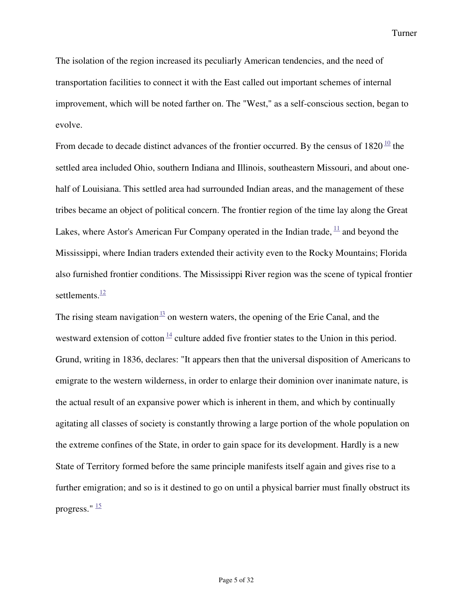The isolation of the region increased its peculiarly American tendencies, and the need of transportation facilities to connect it with the East called out important schemes of internal improvement, which will be noted farther on. The "West," as a self-conscious section, began to evolve.

From decade to decade distinct advances of the frontier occurred. By the census of  $1820^{\frac{10}{2}}$  the settled area included Ohio, southern Indiana and Illinois, southeastern Missouri, and about onehalf of Louisiana. This settled area had surrounded Indian areas, and the management of these tribes became an object of political concern. The frontier region of the time lay along the Great Lakes, where Astor's American Fur Company operated in the Indian trade,  $\frac{11}{1}$  and beyond the Mississippi, where Indian traders extended their activity even to the Rocky Mountains; Florida also furnished frontier conditions. The Mississippi River region was the scene of typical frontier settlements.<sup>12</sup>

The rising steam navigation  $\frac{13}{12}$  on western waters, the opening of the Erie Canal, and the westward extension of cotton  $\frac{14}{14}$  culture added five frontier states to the Union in this period. Grund, writing in 1836, declares: "It appears then that the universal disposition of Americans to emigrate to the western wilderness, in order to enlarge their dominion over inanimate nature, is the actual result of an expansive power which is inherent in them, and which by continually agitating all classes of society is constantly throwing a large portion of the whole population on the extreme confines of the State, in order to gain space for its development. Hardly is a new State of Territory formed before the same principle manifests itself again and gives rise to a further emigration; and so is it destined to go on until a physical barrier must finally obstruct its progress."  $\frac{15}{3}$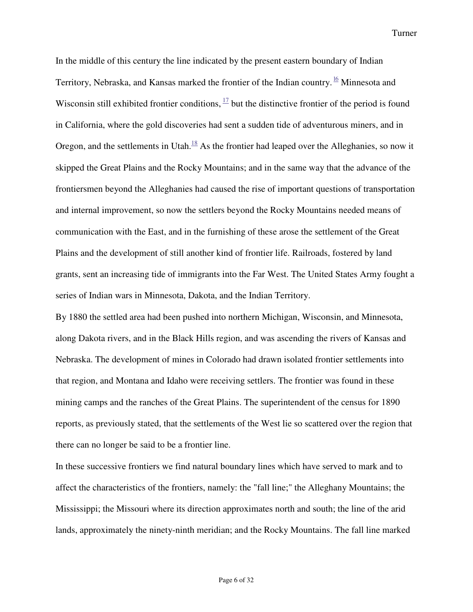In the middle of this century the line indicated by the present eastern boundary of Indian Territory, Nebraska, and Kansas marked the frontier of the Indian country. <sup>16</sup> Minnesota and Wisconsin still exhibited frontier conditions,  $\frac{17}{12}$  but the distinctive frontier of the period is found in California, where the gold discoveries had sent a sudden tide of adventurous miners, and in Oregon, and the settlements in Utah. $^{18}$  As the frontier had leaped over the Alleghanies, so now it skipped the Great Plains and the Rocky Mountains; and in the same way that the advance of the frontiersmen beyond the Alleghanies had caused the rise of important questions of transportation and internal improvement, so now the settlers beyond the Rocky Mountains needed means of communication with the East, and in the furnishing of these arose the settlement of the Great Plains and the development of still another kind of frontier life. Railroads, fostered by land grants, sent an increasing tide of immigrants into the Far West. The United States Army fought a series of Indian wars in Minnesota, Dakota, and the Indian Territory.

By 1880 the settled area had been pushed into northern Michigan, Wisconsin, and Minnesota, along Dakota rivers, and in the Black Hills region, and was ascending the rivers of Kansas and Nebraska. The development of mines in Colorado had drawn isolated frontier settlements into that region, and Montana and Idaho were receiving settlers. The frontier was found in these mining camps and the ranches of the Great Plains. The superintendent of the census for 1890 reports, as previously stated, that the settlements of the West lie so scattered over the region that there can no longer be said to be a frontier line.

In these successive frontiers we find natural boundary lines which have served to mark and to affect the characteristics of the frontiers, namely: the "fall line;" the Alleghany Mountains; the Mississippi; the Missouri where its direction approximates north and south; the line of the arid lands, approximately the ninety-ninth meridian; and the Rocky Mountains. The fall line marked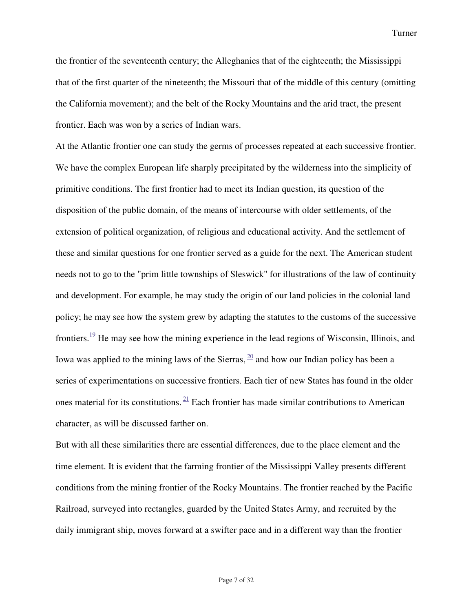the frontier of the seventeenth century; the Alleghanies that of the eighteenth; the Mississippi that of the first quarter of the nineteenth; the Missouri that of the middle of this century (omitting the California movement); and the belt of the Rocky Mountains and the arid tract, the present frontier. Each was won by a series of Indian wars.

At the Atlantic frontier one can study the germs of processes repeated at each successive frontier. We have the complex European life sharply precipitated by the wilderness into the simplicity of primitive conditions. The first frontier had to meet its Indian question, its question of the disposition of the public domain, of the means of intercourse with older settlements, of the extension of political organization, of religious and educational activity. And the settlement of these and similar questions for one frontier served as a guide for the next. The American student needs not to go to the "prim little townships of Sleswick" for illustrations of the law of continuity and development. For example, he may study the origin of our land policies in the colonial land policy; he may see how the system grew by adapting the statutes to the customs of the successive frontiers.<sup>19</sup> He may see how the mining experience in the lead regions of Wisconsin, Illinois, and Iowa was applied to the mining laws of the Sierras,  $\frac{20}{20}$  and how our Indian policy has been a series of experimentations on successive frontiers. Each tier of new States has found in the older ones material for its constitutions.  $21$  Each frontier has made similar contributions to American character, as will be discussed farther on.

But with all these similarities there are essential differences, due to the place element and the time element. It is evident that the farming frontier of the Mississippi Valley presents different conditions from the mining frontier of the Rocky Mountains. The frontier reached by the Pacific Railroad, surveyed into rectangles, guarded by the United States Army, and recruited by the daily immigrant ship, moves forward at a swifter pace and in a different way than the frontier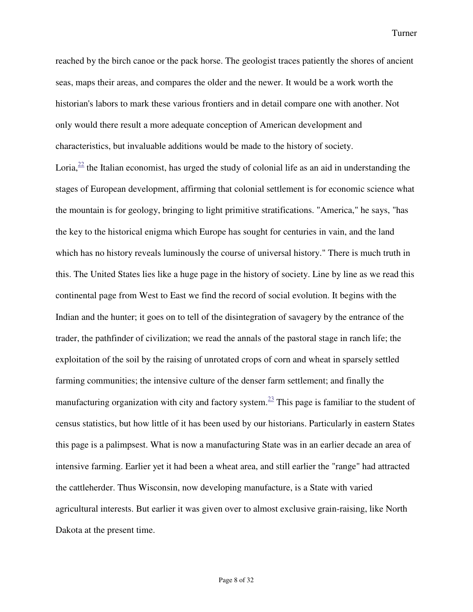reached by the birch canoe or the pack horse. The geologist traces patiently the shores of ancient seas, maps their areas, and compares the older and the newer. It would be a work worth the historian's labors to mark these various frontiers and in detail compare one with another. Not only would there result a more adequate conception of American development and characteristics, but invaluable additions would be made to the history of society. Loria, $\frac{22}{2}$  the Italian economist, has urged the study of colonial life as an aid in understanding the stages of European development, affirming that colonial settlement is for economic science what the mountain is for geology, bringing to light primitive stratifications. "America," he says, "has the key to the historical enigma which Europe has sought for centuries in vain, and the land which has no history reveals luminously the course of universal history." There is much truth in this. The United States lies like a huge page in the history of society. Line by line as we read this continental page from West to East we find the record of social evolution. It begins with the Indian and the hunter; it goes on to tell of the disintegration of savagery by the entrance of the trader, the pathfinder of civilization; we read the annals of the pastoral stage in ranch life; the exploitation of the soil by the raising of unrotated crops of corn and wheat in sparsely settled farming communities; the intensive culture of the denser farm settlement; and finally the manufacturing organization with city and factory system.<sup>23</sup> This page is familiar to the student of census statistics, but how little of it has been used by our historians. Particularly in eastern States this page is a palimpsest. What is now a manufacturing State was in an earlier decade an area of intensive farming. Earlier yet it had been a wheat area, and still earlier the "range" had attracted the cattleherder. Thus Wisconsin, now developing manufacture, is a State with varied agricultural interests. But earlier it was given over to almost exclusive grain-raising, like North Dakota at the present time.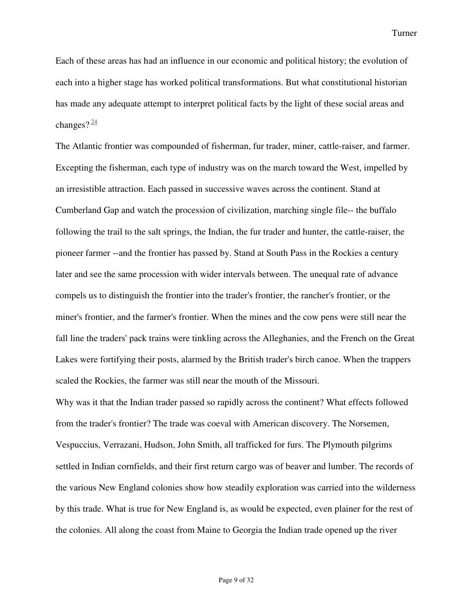Each of these areas has had an influence in our economic and political history; the evolution of each into a higher stage has worked political transformations. But what constitutional historian has made any adequate attempt to interpret political facts by the light of these social areas and changes? $\frac{24}{3}$ 

The Atlantic frontier was compounded of fisherman, fur trader, miner, cattle-raiser, and farmer. Excepting the fisherman, each type of industry was on the march toward the West, impelled by an irresistible attraction. Each passed in successive waves across the continent. Stand at Cumberland Gap and watch the procession of civilization, marching single file-- the buffalo following the trail to the salt springs, the Indian, the fur trader and hunter, the cattle-raiser, the pioneer farmer --and the frontier has passed by. Stand at South Pass in the Rockies a century later and see the same procession with wider intervals between. The unequal rate of advance compels us to distinguish the frontier into the trader's frontier, the rancher's frontier, or the miner's frontier, and the farmer's frontier. When the mines and the cow pens were still near the fall line the traders' pack trains were tinkling across the Alleghanies, and the French on the Great Lakes were fortifying their posts, alarmed by the British trader's birch canoe. When the trappers scaled the Rockies, the farmer was still near the mouth of the Missouri.

Why was it that the Indian trader passed so rapidly across the continent? What effects followed from the trader's frontier? The trade was coeval with American discovery. The Norsemen, Vespuccius, Verrazani, Hudson, John Smith, all trafficked for furs. The Plymouth pilgrims settled in Indian cornfields, and their first return cargo was of beaver and lumber. The records of the various New England colonies show how steadily exploration was carried into the wilderness by this trade. What is true for New England is, as would be expected, even plainer for the rest of the colonies. All along the coast from Maine to Georgia the Indian trade opened up the river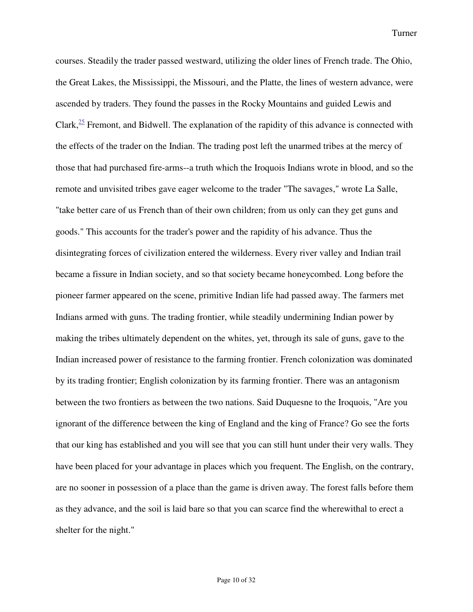courses. Steadily the trader passed westward, utilizing the older lines of French trade. The Ohio, the Great Lakes, the Mississippi, the Missouri, and the Platte, the lines of western advance, were ascended by traders. They found the passes in the Rocky Mountains and guided Lewis and Clark, $\frac{25}{12}$  Fremont, and Bidwell. The explanation of the rapidity of this advance is connected with the effects of the trader on the Indian. The trading post left the unarmed tribes at the mercy of those that had purchased fire-arms--a truth which the Iroquois Indians wrote in blood, and so the remote and unvisited tribes gave eager welcome to the trader "The savages," wrote La Salle, "take better care of us French than of their own children; from us only can they get guns and goods." This accounts for the trader's power and the rapidity of his advance. Thus the disintegrating forces of civilization entered the wilderness. Every river valley and Indian trail became a fissure in Indian society, and so that society became honeycombed. Long before the pioneer farmer appeared on the scene, primitive Indian life had passed away. The farmers met Indians armed with guns. The trading frontier, while steadily undermining Indian power by making the tribes ultimately dependent on the whites, yet, through its sale of guns, gave to the Indian increased power of resistance to the farming frontier. French colonization was dominated by its trading frontier; English colonization by its farming frontier. There was an antagonism between the two frontiers as between the two nations. Said Duquesne to the Iroquois, "Are you ignorant of the difference between the king of England and the king of France? Go see the forts that our king has established and you will see that you can still hunt under their very walls. They have been placed for your advantage in places which you frequent. The English, on the contrary, are no sooner in possession of a place than the game is driven away. The forest falls before them as they advance, and the soil is laid bare so that you can scarce find the wherewithal to erect a shelter for the night."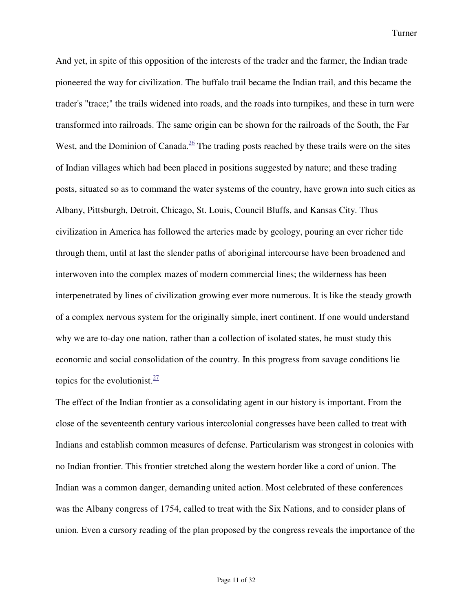And yet, in spite of this opposition of the interests of the trader and the farmer, the Indian trade pioneered the way for civilization. The buffalo trail became the Indian trail, and this became the trader's "trace;" the trails widened into roads, and the roads into turnpikes, and these in turn were transformed into railroads. The same origin can be shown for the railroads of the South, the Far West, and the Dominion of Canada. $26$  The trading posts reached by these trails were on the sites of Indian villages which had been placed in positions suggested by nature; and these trading posts, situated so as to command the water systems of the country, have grown into such cities as Albany, Pittsburgh, Detroit, Chicago, St. Louis, Council Bluffs, and Kansas City. Thus civilization in America has followed the arteries made by geology, pouring an ever richer tide through them, until at last the slender paths of aboriginal intercourse have been broadened and interwoven into the complex mazes of modern commercial lines; the wilderness has been interpenetrated by lines of civilization growing ever more numerous. It is like the steady growth of a complex nervous system for the originally simple, inert continent. If one would understand why we are to-day one nation, rather than a collection of isolated states, he must study this economic and social consolidation of the country. In this progress from savage conditions lie topics for the evolutionist. $\frac{27}{27}$ 

The effect of the Indian frontier as a consolidating agent in our history is important. From the close of the seventeenth century various intercolonial congresses have been called to treat with Indians and establish common measures of defense. Particularism was strongest in colonies with no Indian frontier. This frontier stretched along the western border like a cord of union. The Indian was a common danger, demanding united action. Most celebrated of these conferences was the Albany congress of 1754, called to treat with the Six Nations, and to consider plans of union. Even a cursory reading of the plan proposed by the congress reveals the importance of the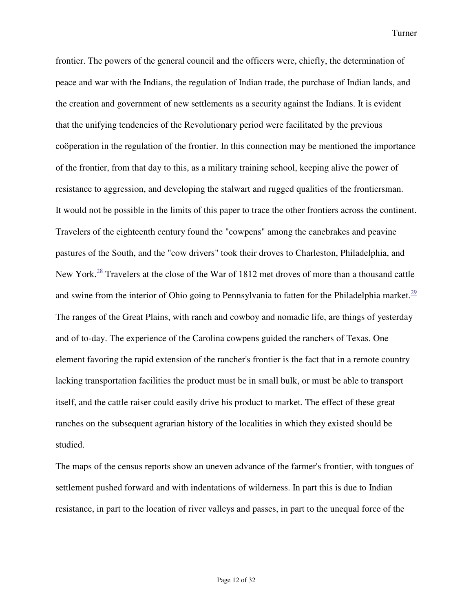frontier. The powers of the general council and the officers were, chiefly, the determination of peace and war with the Indians, the regulation of Indian trade, the purchase of Indian lands, and the creation and government of new settlements as a security against the Indians. It is evident that the unifying tendencies of the Revolutionary period were facilitated by the previous coöperation in the regulation of the frontier. In this connection may be mentioned the importance of the frontier, from that day to this, as a military training school, keeping alive the power of resistance to aggression, and developing the stalwart and rugged qualities of the frontiersman. It would not be possible in the limits of this paper to trace the other frontiers across the continent. Travelers of the eighteenth century found the "cowpens" among the canebrakes and peavine pastures of the South, and the "cow drivers" took their droves to Charleston, Philadelphia, and New York.<sup>28</sup> Travelers at the close of the War of 1812 met droves of more than a thousand cattle and swine from the interior of Ohio going to Pennsylvania to fatten for the Philadelphia market.<sup>29</sup> The ranges of the Great Plains, with ranch and cowboy and nomadic life, are things of yesterday and of to-day. The experience of the Carolina cowpens guided the ranchers of Texas. One element favoring the rapid extension of the rancher's frontier is the fact that in a remote country lacking transportation facilities the product must be in small bulk, or must be able to transport itself, and the cattle raiser could easily drive his product to market. The effect of these great ranches on the subsequent agrarian history of the localities in which they existed should be studied.

The maps of the census reports show an uneven advance of the farmer's frontier, with tongues of settlement pushed forward and with indentations of wilderness. In part this is due to Indian resistance, in part to the location of river valleys and passes, in part to the unequal force of the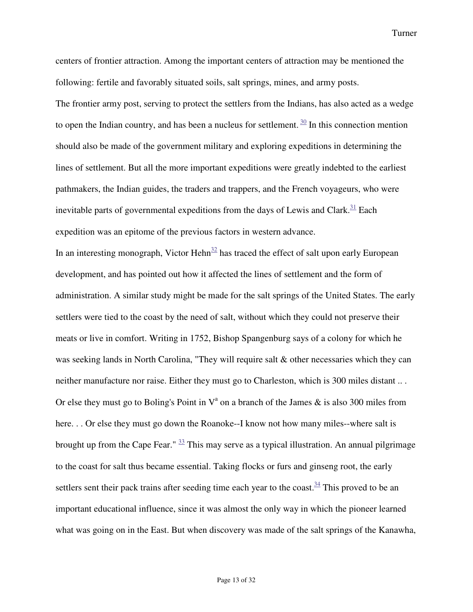centers of frontier attraction. Among the important centers of attraction may be mentioned the following: fertile and favorably situated soils, salt springs, mines, and army posts.

The frontier army post, serving to protect the settlers from the Indians, has also acted as a wedge to open the Indian country, and has been a nucleus for settlement.  $\frac{30}{10}$  In this connection mention should also be made of the government military and exploring expeditions in determining the lines of settlement. But all the more important expeditions were greatly indebted to the earliest pathmakers, the Indian guides, the traders and trappers, and the French voyageurs, who were inevitable parts of governmental expeditions from the days of Lewis and Clark. $31$  Each expedition was an epitome of the previous factors in western advance.

In an interesting monograph, Victor Hehn<sup>32</sup> has traced the effect of salt upon early European development, and has pointed out how it affected the lines of settlement and the form of administration. A similar study might be made for the salt springs of the United States. The early settlers were tied to the coast by the need of salt, without which they could not preserve their meats or live in comfort. Writing in 1752, Bishop Spangenburg says of a colony for which he was seeking lands in North Carolina, "They will require salt  $\&$  other necessaries which they can neither manufacture nor raise. Either they must go to Charleston, which is 300 miles distant .. . Or else they must go to Boling's Point in  $V^a$  on a branch of the James & is also 300 miles from here. . . Or else they must go down the Roanoke--I know not how many miles--where salt is brought up from the Cape Fear." <sup>33</sup> This may serve as a typical illustration. An annual pilgrimage to the coast for salt thus became essential. Taking flocks or furs and ginseng root, the early settlers sent their pack trains after seeding time each year to the coast. $34$  This proved to be an important educational influence, since it was almost the only way in which the pioneer learned what was going on in the East. But when discovery was made of the salt springs of the Kanawha,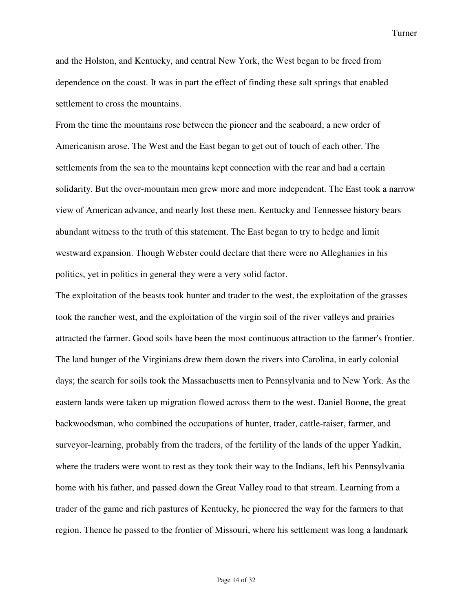and the Holston, and Kentucky, and central New York, the West began to be freed from dependence on the coast. It was in part the effect of finding these salt springs that enabled settlement to cross the mountains.

From the time the mountains rose between the pioneer and the seaboard, a new order of Americanism arose. The West and the East began to get out of touch of each other. The settlements from the sea to the mountains kept connection with the rear and had a certain solidarity. But the over-mountain men grew more and more independent. The East took a narrow view of American advance, and nearly lost these men. Kentucky and Tennessee history bears abundant witness to the truth of this statement. The East began to try to hedge and limit westward expansion. Though Webster could declare that there were no Alleghanies in his politics, yet in politics in general they were a very solid factor.

The exploitation of the beasts took hunter and trader to the west, the exploitation of the grasses took the rancher west, and the exploitation of the virgin soil of the river valleys and prairies attracted the farmer. Good soils have been the most continuous attraction to the farmer's frontier. The land hunger of the Virginians drew them down the rivers into Carolina, in early colonial days; the search for soils took the Massachusetts men to Pennsylvania and to New York. As the eastern lands were taken up migration flowed across them to the west. Daniel Boone, the great backwoodsman, who combined the occupations of hunter, trader, cattle-raiser, farmer, and surveyor-learning, probably from the traders, of the fertility of the lands of the upper Yadkin, where the traders were wont to rest as they took their way to the Indians, left his Pennsylvania home with his father, and passed down the Great Valley road to that stream. Learning from a trader of the game and rich pastures of Kentucky, he pioneered the way for the farmers to that region. Thence he passed to the frontier of Missouri, where his settlement was long a landmark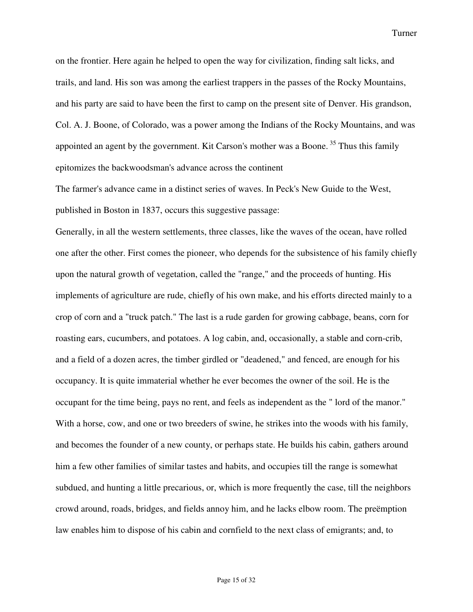on the frontier. Here again he helped to open the way for civilization, finding salt licks, and trails, and land. His son was among the earliest trappers in the passes of the Rocky Mountains, and his party are said to have been the first to camp on the present site of Denver. His grandson, Col. A. J. Boone, of Colorado, was a power among the Indians of the Rocky Mountains, and was appointed an agent by the government. Kit Carson's mother was a Boone.<sup>35</sup> Thus this family epitomizes the backwoodsman's advance across the continent

The farmer's advance came in a distinct series of waves. In Peck's New Guide to the West, published in Boston in 1837, occurs this suggestive passage:

Generally, in all the western settlements, three classes, like the waves of the ocean, have rolled one after the other. First comes the pioneer, who depends for the subsistence of his family chiefly upon the natural growth of vegetation, called the "range," and the proceeds of hunting. His implements of agriculture are rude, chiefly of his own make, and his efforts directed mainly to a crop of corn and a "truck patch." The last is a rude garden for growing cabbage, beans, corn for roasting ears, cucumbers, and potatoes. A log cabin, and, occasionally, a stable and corn-crib, and a field of a dozen acres, the timber girdled or "deadened," and fenced, are enough for his occupancy. It is quite immaterial whether he ever becomes the owner of the soil. He is the occupant for the time being, pays no rent, and feels as independent as the " lord of the manor." With a horse, cow, and one or two breeders of swine, he strikes into the woods with his family, and becomes the founder of a new county, or perhaps state. He builds his cabin, gathers around him a few other families of similar tastes and habits, and occupies till the range is somewhat subdued, and hunting a little precarious, or, which is more frequently the case, till the neighbors crowd around, roads, bridges, and fields annoy him, and he lacks elbow room. The preëmption law enables him to dispose of his cabin and cornfield to the next class of emigrants; and, to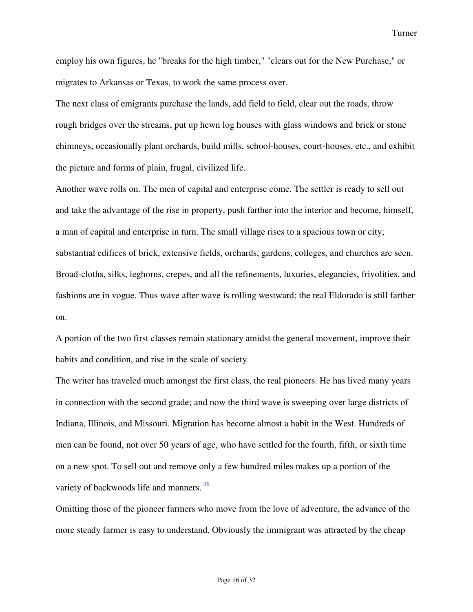employ his own figures, he "breaks for the high timber," "clears out for the New Purchase," or migrates to Arkansas or Texas, to work the same process over.

The next class of emigrants purchase the lands, add field to field, clear out the roads, throw rough bridges over the streams, put up hewn log houses with glass windows and brick or stone chimneys, occasionally plant orchards, build mills, school-houses, court-houses, etc., and exhibit the picture and forms of plain, frugal, civilized life.

Another wave rolls on. The men of capital and enterprise come. The settler is ready to sell out and take the advantage of the rise in property, push farther into the interior and become, himself, a man of capital and enterprise in turn. The small village rises to a spacious town or city; substantial edifices of brick, extensive fields, orchards, gardens, colleges, and churches are seen. Broad-cloths, silks, leghorns, crepes, and all the refinements, luxuries, elegancies, frivolities, and fashions are in vogue. Thus wave after wave is rolling westward; the real Eldorado is still farther on.

A portion of the two first classes remain stationary amidst the general movement, improve their habits and condition, and rise in the scale of society.

The writer has traveled much amongst the first class, the real pioneers. He has lived many years in connection with the second grade; and now the third wave is sweeping over large districts of Indiana, Illinois, and Missouri. Migration has become almost a habit in the West. Hundreds of men can be found, not over 50 years of age, who have settled for the fourth, fifth, or sixth time on a new spot. To sell out and remove only a few hundred miles makes up a portion of the variety of backwoods life and manners.<sup>36</sup>

Omitting those of the pioneer farmers who move from the love of adventure, the advance of the more steady farmer is easy to understand. Obviously the immigrant was attracted by the cheap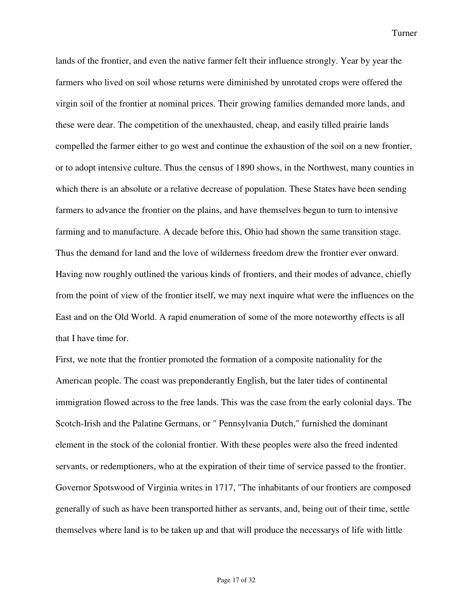lands of the frontier, and even the native farmer felt their influence strongly. Year by year the farmers who lived on soil whose returns were diminished by unrotated crops were offered the virgin soil of the frontier at nominal prices. Their growing families demanded more lands, and these were dear. The competition of the unexhausted, cheap, and easily tilled prairie lands compelled the farmer either to go west and continue the exhaustion of the soil on a new frontier, or to adopt intensive culture. Thus the census of 1890 shows, in the Northwest, many counties in which there is an absolute or a relative decrease of population. These States have been sending farmers to advance the frontier on the plains, and have themselves begun to turn to intensive farming and to manufacture. A decade before this, Ohio had shown the same transition stage. Thus the demand for land and the love of wilderness freedom drew the frontier ever onward. Having now roughly outlined the various kinds of frontiers, and their modes of advance, chiefly from the point of view of the frontier itself, we may next inquire what were the influences on the East and on the Old World. A rapid enumeration of some of the more noteworthy effects is all that I have time for.

First, we note that the frontier promoted the formation of a composite nationality for the American people. The coast was preponderantly English, but the later tides of continental immigration flowed across to the free lands. This was the case from the early colonial days. The Scotch-Irish and the Palatine Germans, or " Pennsylvania Dutch," furnished the dominant element in the stock of the colonial frontier. With these peoples were also the freed indented servants, or redemptioners, who at the expiration of their time of service passed to the frontier. Governor Spotswood of Virginia writes in 1717, "The inhabitants of our frontiers are composed generally of such as have been transported hither as servants, and, being out of their time, settle themselves where land is to be taken up and that will produce the necessarys of life with little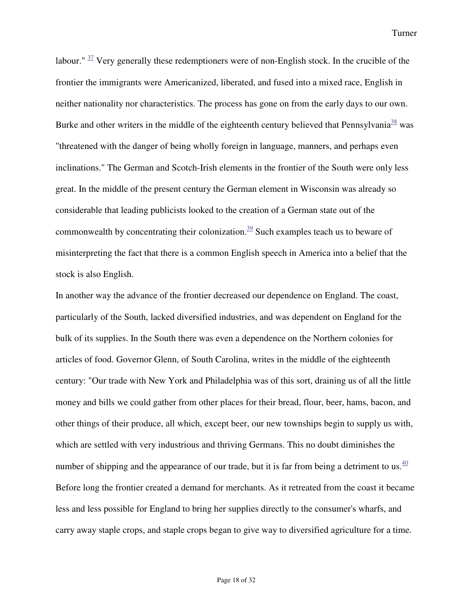labour."  $\frac{37}{2}$  Very generally these redemptioners were of non-English stock. In the crucible of the frontier the immigrants were Americanized, liberated, and fused into a mixed race, English in neither nationality nor characteristics. The process has gone on from the early days to our own. Burke and other writers in the middle of the eighteenth century believed that Pennsylvania<sup>38</sup> was "threatened with the danger of being wholly foreign in language, manners, and perhaps even inclinations." The German and Scotch-Irish elements in the frontier of the South were only less great. In the middle of the present century the German element in Wisconsin was already so considerable that leading publicists looked to the creation of a German state out of the commonwealth by concentrating their colonization. $\frac{39}{2}$  Such examples teach us to beware of misinterpreting the fact that there is a common English speech in America into a belief that the stock is also English.

In another way the advance of the frontier decreased our dependence on England. The coast, particularly of the South, lacked diversified industries, and was dependent on England for the bulk of its supplies. In the South there was even a dependence on the Northern colonies for articles of food. Governor Glenn, of South Carolina, writes in the middle of the eighteenth century: "Our trade with New York and Philadelphia was of this sort, draining us of all the little money and bills we could gather from other places for their bread, flour, beer, hams, bacon, and other things of their produce, all which, except beer, our new townships begin to supply us with, which are settled with very industrious and thriving Germans. This no doubt diminishes the number of shipping and the appearance of our trade, but it is far from being a detriment to us.<sup>40</sup> Before long the frontier created a demand for merchants. As it retreated from the coast it became less and less possible for England to bring her supplies directly to the consumer's wharfs, and carry away staple crops, and staple crops began to give way to diversified agriculture for a time.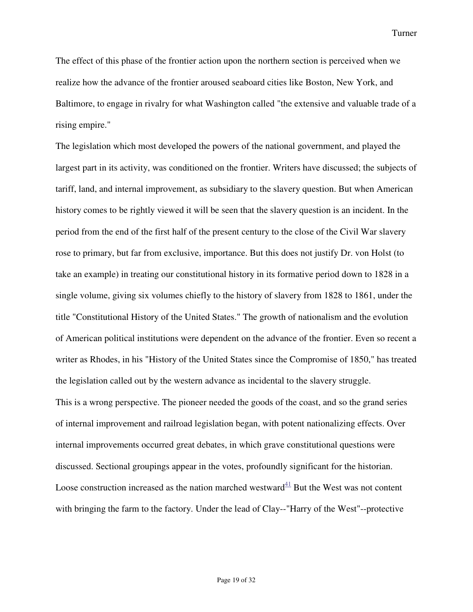The effect of this phase of the frontier action upon the northern section is perceived when we realize how the advance of the frontier aroused seaboard cities like Boston, New York, and Baltimore, to engage in rivalry for what Washington called "the extensive and valuable trade of a rising empire."

The legislation which most developed the powers of the national government, and played the largest part in its activity, was conditioned on the frontier. Writers have discussed; the subjects of tariff, land, and internal improvement, as subsidiary to the slavery question. But when American history comes to be rightly viewed it will be seen that the slavery question is an incident. In the period from the end of the first half of the present century to the close of the Civil War slavery rose to primary, but far from exclusive, importance. But this does not justify Dr. von Holst (to take an example) in treating our constitutional history in its formative period down to 1828 in a single volume, giving six volumes chiefly to the history of slavery from 1828 to 1861, under the title "Constitutional History of the United States." The growth of nationalism and the evolution of American political institutions were dependent on the advance of the frontier. Even so recent a writer as Rhodes, in his "History of the United States since the Compromise of 1850," has treated the legislation called out by the western advance as incidental to the slavery struggle. This is a wrong perspective. The pioneer needed the goods of the coast, and so the grand series of internal improvement and railroad legislation began, with potent nationalizing effects. Over internal improvements occurred great debates, in which grave constitutional questions were discussed. Sectional groupings appear in the votes, profoundly significant for the historian. Loose construction increased as the nation marched westward $^{41}$  But the West was not content with bringing the farm to the factory. Under the lead of Clay--"Harry of the West"--protective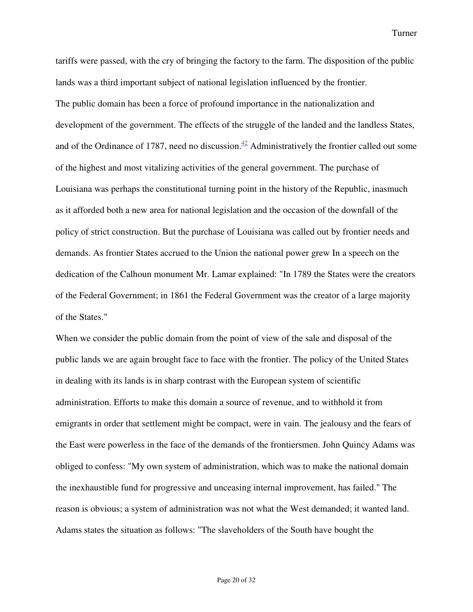tariffs were passed, with the cry of bringing the factory to the farm. The disposition of the public lands was a third important subject of national legislation influenced by the frontier. The public domain has been a force of profound importance in the nationalization and development of the government. The effects of the struggle of the landed and the landless States, and of the Ordinance of 1787, need no discussion.<sup> $42$ </sup> Administratively the frontier called out some of the highest and most vitalizing activities of the general government. The purchase of Louisiana was perhaps the constitutional turning point in the history of the Republic, inasmuch as it afforded both a new area for national legislation and the occasion of the downfall of the policy of strict construction. But the purchase of Louisiana was called out by frontier needs and demands. As frontier States accrued to the Union the national power grew In a speech on the dedication of the Calhoun monument Mr. Lamar explained: "In 1789 the States were the creators of the Federal Government; in 1861 the Federal Government was the creator of a large majority of the States."

When we consider the public domain from the point of view of the sale and disposal of the public lands we are again brought face to face with the frontier. The policy of the United States in dealing with its lands is in sharp contrast with the European system of scientific administration. Efforts to make this domain a source of revenue, and to withhold it from emigrants in order that settlement might be compact, were in vain. The jealousy and the fears of the East were powerless in the face of the demands of the frontiersmen. John Quincy Adams was obliged to confess: "My own system of administration, which was to make the national domain the inexhaustible fund for progressive and unceasing internal improvement, has failed." The reason is obvious; a system of administration was not what the West demanded; it wanted land. Adams states the situation as follows: "The slaveholders of the South have bought the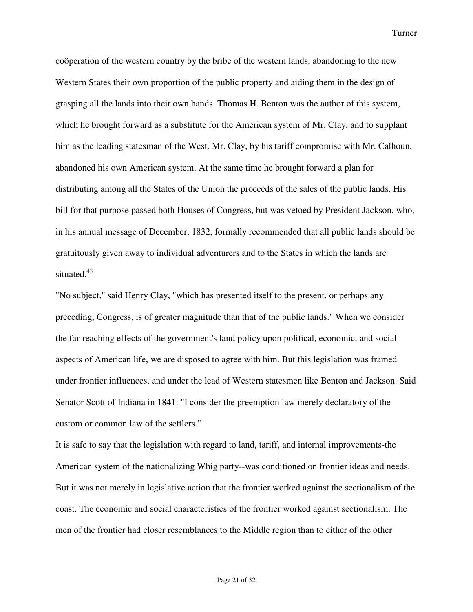coöperation of the western country by the bribe of the western lands, abandoning to the new Western States their own proportion of the public property and aiding them in the design of grasping all the lands into their own hands. Thomas H. Benton was the author of this system, which he brought forward as a substitute for the American system of Mr. Clay, and to supplant him as the leading statesman of the West. Mr. Clay, by his tariff compromise with Mr. Calhoun, abandoned his own American system. At the same time he brought forward a plan for distributing among all the States of the Union the proceeds of the sales of the public lands. His bill for that purpose passed both Houses of Congress, but was vetoed by President Jackson, who, in his annual message of December, 1832, formally recommended that all public lands should be gratuitously given away to individual adventurers and to the States in which the lands are situated. $\frac{43}{5}$ 

"No subject," said Henry Clay, "which has presented itself to the present, or perhaps any preceding, Congress, is of greater magnitude than that of the public lands." When we consider the far-reaching effects of the government's land policy upon political, economic, and social aspects of American life, we are disposed to agree with him. But this legislation was framed under frontier influences, and under the lead of Western statesmen like Benton and Jackson. Said Senator Scott of Indiana in 1841: "I consider the preemption law merely declaratory of the custom or common law of the settlers."

It is safe to say that the legislation with regard to land, tariff, and internal improvements-the American system of the nationalizing Whig party--was conditioned on frontier ideas and needs. But it was not merely in legislative action that the frontier worked against the sectionalism of the coast. The economic and social characteristics of the frontier worked against sectionalism. The men of the frontier had closer resemblances to the Middle region than to either of the other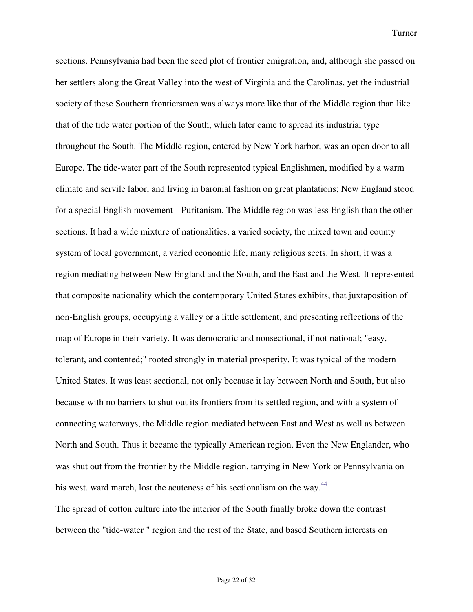sections. Pennsylvania had been the seed plot of frontier emigration, and, although she passed on her settlers along the Great Valley into the west of Virginia and the Carolinas, yet the industrial society of these Southern frontiersmen was always more like that of the Middle region than like that of the tide water portion of the South, which later came to spread its industrial type throughout the South. The Middle region, entered by New York harbor, was an open door to all Europe. The tide-water part of the South represented typical Englishmen, modified by a warm climate and servile labor, and living in baronial fashion on great plantations; New England stood for a special English movement-- Puritanism. The Middle region was less English than the other sections. It had a wide mixture of nationalities, a varied society, the mixed town and county system of local government, a varied economic life, many religious sects. In short, it was a region mediating between New England and the South, and the East and the West. It represented that composite nationality which the contemporary United States exhibits, that juxtaposition of non-English groups, occupying a valley or a little settlement, and presenting reflections of the map of Europe in their variety. It was democratic and nonsectional, if not national; "easy, tolerant, and contented;" rooted strongly in material prosperity. It was typical of the modern United States. It was least sectional, not only because it lay between North and South, but also because with no barriers to shut out its frontiers from its settled region, and with a system of connecting waterways, the Middle region mediated between East and West as well as between North and South. Thus it became the typically American region. Even the New Englander, who was shut out from the frontier by the Middle region, tarrying in New York or Pennsylvania on his west. ward march, lost the acuteness of his sectionalism on the way. $\frac{44}{3}$ The spread of cotton culture into the interior of the South finally broke down the contrast

between the "tide-water " region and the rest of the State, and based Southern interests on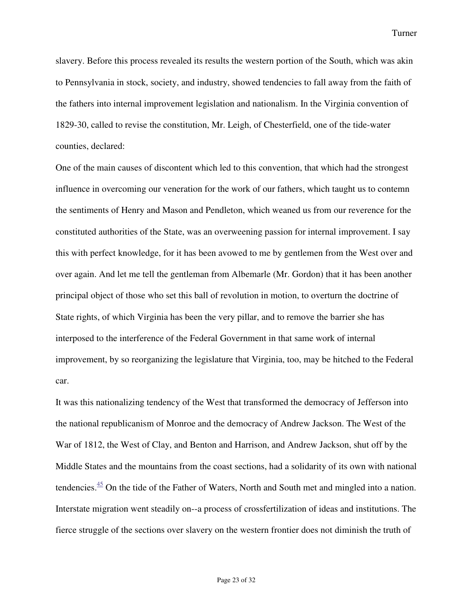slavery. Before this process revealed its results the western portion of the South, which was akin to Pennsylvania in stock, society, and industry, showed tendencies to fall away from the faith of the fathers into internal improvement legislation and nationalism. In the Virginia convention of 1829-30, called to revise the constitution, Mr. Leigh, of Chesterfield, one of the tide-water counties, declared:

One of the main causes of discontent which led to this convention, that which had the strongest influence in overcoming our veneration for the work of our fathers, which taught us to contemn the sentiments of Henry and Mason and Pendleton, which weaned us from our reverence for the constituted authorities of the State, was an overweening passion for internal improvement. I say this with perfect knowledge, for it has been avowed to me by gentlemen from the West over and over again. And let me tell the gentleman from Albemarle (Mr. Gordon) that it has been another principal object of those who set this ball of revolution in motion, to overturn the doctrine of State rights, of which Virginia has been the very pillar, and to remove the barrier she has interposed to the interference of the Federal Government in that same work of internal improvement, by so reorganizing the legislature that Virginia, too, may be hitched to the Federal car.

It was this nationalizing tendency of the West that transformed the democracy of Jefferson into the national republicanism of Monroe and the democracy of Andrew Jackson. The West of the War of 1812, the West of Clay, and Benton and Harrison, and Andrew Jackson, shut off by the Middle States and the mountains from the coast sections, had a solidarity of its own with national tendencies. $\frac{45}{10}$  On the tide of the Father of Waters, North and South met and mingled into a nation. Interstate migration went steadily on--a process of crossfertilization of ideas and institutions. The fierce struggle of the sections over slavery on the western frontier does not diminish the truth of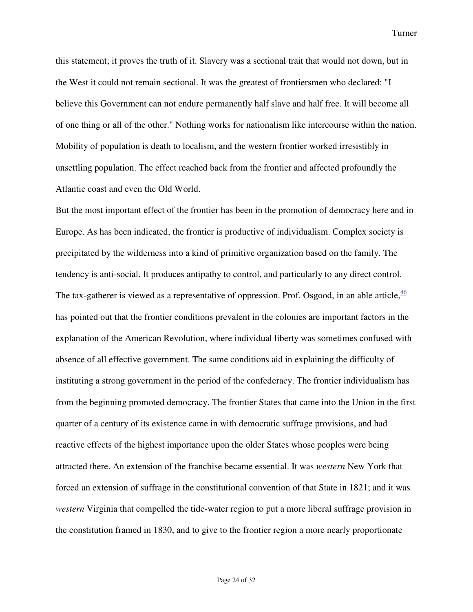this statement; it proves the truth of it. Slavery was a sectional trait that would not down, but in the West it could not remain sectional. It was the greatest of frontiersmen who declared: "I believe this Government can not endure permanently half slave and half free. It will become all of one thing or all of the other." Nothing works for nationalism like intercourse within the nation. Mobility of population is death to localism, and the western frontier worked irresistibly in unsettling population. The effect reached back from the frontier and affected profoundly the Atlantic coast and even the Old World.

But the most important effect of the frontier has been in the promotion of democracy here and in Europe. As has been indicated, the frontier is productive of individualism. Complex society is precipitated by the wilderness into a kind of primitive organization based on the family. The tendency is anti-social. It produces antipathy to control, and particularly to any direct control. The tax-gatherer is viewed as a representative of oppression. Prof. Osgood, in an able article,  $\frac{46}{3}$ has pointed out that the frontier conditions prevalent in the colonies are important factors in the explanation of the American Revolution, where individual liberty was sometimes confused with absence of all effective government. The same conditions aid in explaining the difficulty of instituting a strong government in the period of the confederacy. The frontier individualism has from the beginning promoted democracy. The frontier States that came into the Union in the first quarter of a century of its existence came in with democratic suffrage provisions, and had reactive effects of the highest importance upon the older States whose peoples were being attracted there. An extension of the franchise became essential. It was *western* New York that forced an extension of suffrage in the constitutional convention of that State in 1821; and it was *western* Virginia that compelled the tide-water region to put a more liberal suffrage provision in the constitution framed in 1830, and to give to the frontier region a more nearly proportionate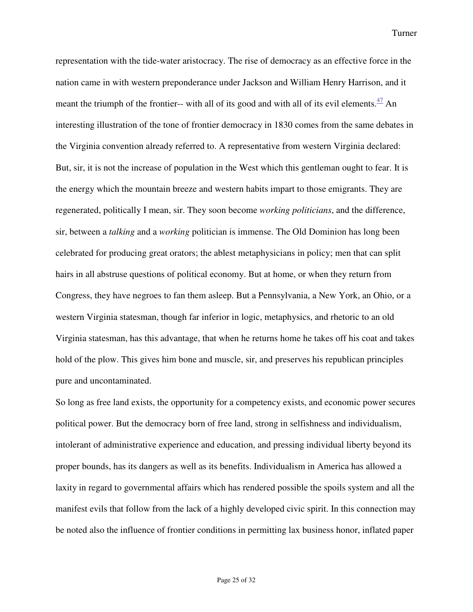representation with the tide-water aristocracy. The rise of democracy as an effective force in the nation came in with western preponderance under Jackson and William Henry Harrison, and it meant the triumph of the frontier-- with all of its good and with all of its evil elements. $\frac{47}{1}$  An interesting illustration of the tone of frontier democracy in 1830 comes from the same debates in the Virginia convention already referred to. A representative from western Virginia declared: But, sir, it is not the increase of population in the West which this gentleman ought to fear. It is the energy which the mountain breeze and western habits impart to those emigrants. They are regenerated, politically I mean, sir. They soon become *working politicians*, and the difference, sir, between a *talking* and a *working* politician is immense. The Old Dominion has long been celebrated for producing great orators; the ablest metaphysicians in policy; men that can split hairs in all abstruse questions of political economy. But at home, or when they return from Congress, they have negroes to fan them asleep. But a Pennsylvania, a New York, an Ohio, or a western Virginia statesman, though far inferior in logic, metaphysics, and rhetoric to an old Virginia statesman, has this advantage, that when he returns home he takes off his coat and takes hold of the plow. This gives him bone and muscle, sir, and preserves his republican principles pure and uncontaminated.

So long as free land exists, the opportunity for a competency exists, and economic power secures political power. But the democracy born of free land, strong in selfishness and individualism, intolerant of administrative experience and education, and pressing individual liberty beyond its proper bounds, has its dangers as well as its benefits. Individualism in America has allowed a laxity in regard to governmental affairs which has rendered possible the spoils system and all the manifest evils that follow from the lack of a highly developed civic spirit. In this connection may be noted also the influence of frontier conditions in permitting lax business honor, inflated paper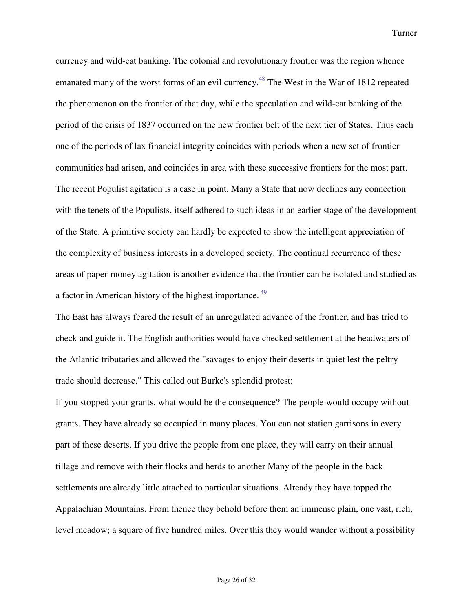currency and wild-cat banking. The colonial and revolutionary frontier was the region whence emanated many of the worst forms of an evil currency.<sup>48</sup> The West in the War of 1812 repeated the phenomenon on the frontier of that day, while the speculation and wild-cat banking of the period of the crisis of 1837 occurred on the new frontier belt of the next tier of States. Thus each one of the periods of lax financial integrity coincides with periods when a new set of frontier communities had arisen, and coincides in area with these successive frontiers for the most part. The recent Populist agitation is a case in point. Many a State that now declines any connection with the tenets of the Populists, itself adhered to such ideas in an earlier stage of the development of the State. A primitive society can hardly be expected to show the intelligent appreciation of the complexity of business interests in a developed society. The continual recurrence of these areas of paper-money agitation is another evidence that the frontier can be isolated and studied as a factor in American history of the highest importance.  $49$ 

The East has always feared the result of an unregulated advance of the frontier, and has tried to check and guide it. The English authorities would have checked settlement at the headwaters of the Atlantic tributaries and allowed the "savages to enjoy their deserts in quiet lest the peltry trade should decrease." This called out Burke's splendid protest:

If you stopped your grants, what would be the consequence? The people would occupy without grants. They have already so occupied in many places. You can not station garrisons in every part of these deserts. If you drive the people from one place, they will carry on their annual tillage and remove with their flocks and herds to another Many of the people in the back settlements are already little attached to particular situations. Already they have topped the Appalachian Mountains. From thence they behold before them an immense plain, one vast, rich, level meadow; a square of five hundred miles. Over this they would wander without a possibility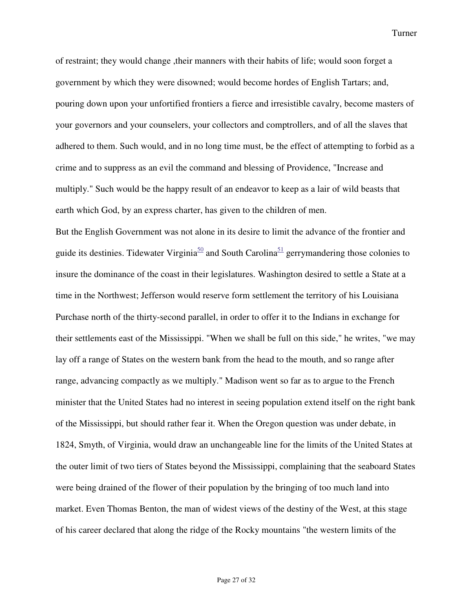of restraint; they would change ,their manners with their habits of life; would soon forget a government by which they were disowned; would become hordes of English Tartars; and, pouring down upon your unfortified frontiers a fierce and irresistible cavalry, become masters of your governors and your counselers, your collectors and comptrollers, and of all the slaves that adhered to them. Such would, and in no long time must, be the effect of attempting to forbid as a crime and to suppress as an evil the command and blessing of Providence, "Increase and multiply." Such would be the happy result of an endeavor to keep as a lair of wild beasts that earth which God, by an express charter, has given to the children of men.

But the English Government was not alone in its desire to limit the advance of the frontier and guide its destinies. Tidewater Virginia<sup>50</sup> and South Carolina<sup>51</sup> gerrymandering those colonies to insure the dominance of the coast in their legislatures. Washington desired to settle a State at a time in the Northwest; Jefferson would reserve form settlement the territory of his Louisiana Purchase north of the thirty-second parallel, in order to offer it to the Indians in exchange for their settlements east of the Mississippi. "When we shall be full on this side," he writes, "we may lay off a range of States on the western bank from the head to the mouth, and so range after range, advancing compactly as we multiply." Madison went so far as to argue to the French minister that the United States had no interest in seeing population extend itself on the right bank of the Mississippi, but should rather fear it. When the Oregon question was under debate, in 1824, Smyth, of Virginia, would draw an unchangeable line for the limits of the United States at the outer limit of two tiers of States beyond the Mississippi, complaining that the seaboard States were being drained of the flower of their population by the bringing of too much land into market. Even Thomas Benton, the man of widest views of the destiny of the West, at this stage of his career declared that along the ridge of the Rocky mountains "the western limits of the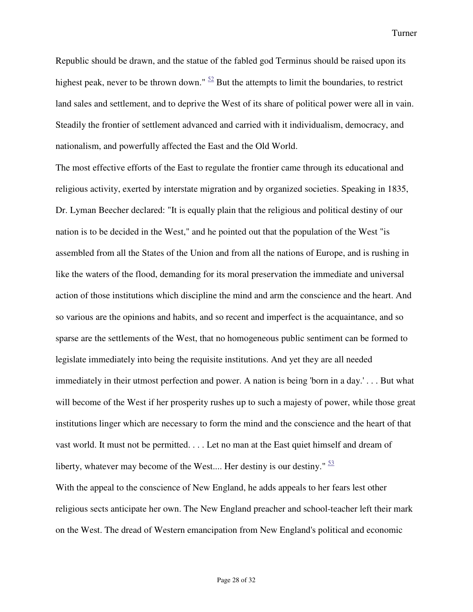Republic should be drawn, and the statue of the fabled god Terminus should be raised upon its highest peak, never to be thrown down."  $\frac{52}{2}$  But the attempts to limit the boundaries, to restrict land sales and settlement, and to deprive the West of its share of political power were all in vain. Steadily the frontier of settlement advanced and carried with it individualism, democracy, and nationalism, and powerfully affected the East and the Old World.

The most effective efforts of the East to regulate the frontier came through its educational and religious activity, exerted by interstate migration and by organized societies. Speaking in 1835, Dr. Lyman Beecher declared: "It is equally plain that the religious and political destiny of our nation is to be decided in the West," and he pointed out that the population of the West "is assembled from all the States of the Union and from all the nations of Europe, and is rushing in like the waters of the flood, demanding for its moral preservation the immediate and universal action of those institutions which discipline the mind and arm the conscience and the heart. And so various are the opinions and habits, and so recent and imperfect is the acquaintance, and so sparse are the settlements of the West, that no homogeneous public sentiment can be formed to legislate immediately into being the requisite institutions. And yet they are all needed immediately in their utmost perfection and power. A nation is being 'born in a day.' . . . But what will become of the West if her prosperity rushes up to such a majesty of power, while those great institutions linger which are necessary to form the mind and the conscience and the heart of that vast world. It must not be permitted. . . . Let no man at the East quiet himself and dream of liberty, whatever may become of the West.... Her destiny is our destiny."  $\frac{53}{2}$ 

With the appeal to the conscience of New England, he adds appeals to her fears lest other religious sects anticipate her own. The New England preacher and school-teacher left their mark on the West. The dread of Western emancipation from New England's political and economic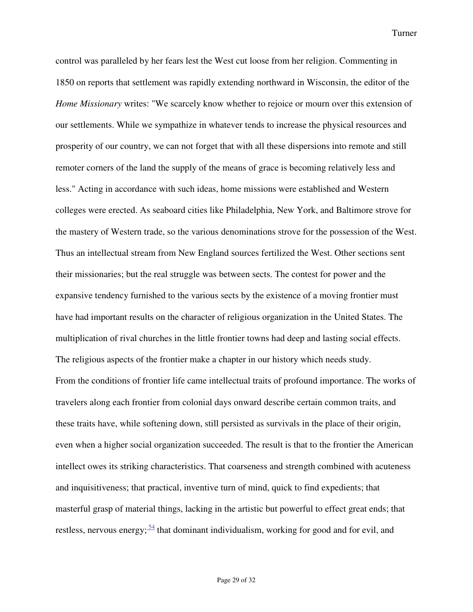control was paralleled by her fears lest the West cut loose from her religion. Commenting in 1850 on reports that settlement was rapidly extending northward in Wisconsin, the editor of the *Home Missionary* writes: "We scarcely know whether to rejoice or mourn over this extension of our settlements. While we sympathize in whatever tends to increase the physical resources and prosperity of our country, we can not forget that with all these dispersions into remote and still remoter corners of the land the supply of the means of grace is becoming relatively less and less." Acting in accordance with such ideas, home missions were established and Western colleges were erected. As seaboard cities like Philadelphia, New York, and Baltimore strove for the mastery of Western trade, so the various denominations strove for the possession of the West. Thus an intellectual stream from New England sources fertilized the West. Other sections sent their missionaries; but the real struggle was between sects. The contest for power and the expansive tendency furnished to the various sects by the existence of a moving frontier must have had important results on the character of religious organization in the United States. The multiplication of rival churches in the little frontier towns had deep and lasting social effects. The religious aspects of the frontier make a chapter in our history which needs study. From the conditions of frontier life came intellectual traits of profound importance. The works of travelers along each frontier from colonial days onward describe certain common traits, and these traits have, while softening down, still persisted as survivals in the place of their origin, even when a higher social organization succeeded. The result is that to the frontier the American intellect owes its striking characteristics. That coarseness and strength combined with acuteness and inquisitiveness; that practical, inventive turn of mind, quick to find expedients; that masterful grasp of material things, lacking in the artistic but powerful to effect great ends; that restless, nervous energy;  $\frac{54}{1}$  that dominant individualism, working for good and for evil, and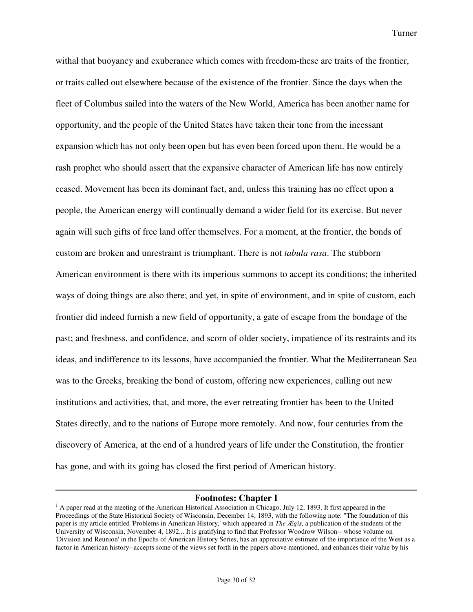withal that buoyancy and exuberance which comes with freedom-these are traits of the frontier, or traits called out elsewhere because of the existence of the frontier. Since the days when the fleet of Columbus sailed into the waters of the New World, America has been another name for opportunity, and the people of the United States have taken their tone from the incessant expansion which has not only been open but has even been forced upon them. He would be a rash prophet who should assert that the expansive character of American life has now entirely ceased. Movement has been its dominant fact, and, unless this training has no effect upon a people, the American energy will continually demand a wider field for its exercise. But never again will such gifts of free land offer themselves. For a moment, at the frontier, the bonds of custom are broken and unrestraint is triumphant. There is not *tabula rasa*. The stubborn American environment is there with its imperious summons to accept its conditions; the inherited ways of doing things are also there; and yet, in spite of environment, and in spite of custom, each frontier did indeed furnish a new field of opportunity, a gate of escape from the bondage of the past; and freshness, and confidence, and scorn of older society, impatience of its restraints and its ideas, and indifference to its lessons, have accompanied the frontier. What the Mediterranean Sea was to the Greeks, breaking the bond of custom, offering new experiences, calling out new institutions and activities, that, and more, the ever retreating frontier has been to the United States directly, and to the nations of Europe more remotely. And now, four centuries from the discovery of America, at the end of a hundred years of life under the Constitution, the frontier has gone, and with its going has closed the first period of American history.

## **Footnotes: Chapter I**

 $<sup>1</sup>$  A paper read at the meeting of the American Historical Association in Chicago, July 12, 1893. It first appeared in the</sup> Proceedings of the State Historical Society of Wisconsin, December 14, 1893, with the following note: "The foundation of this paper is my article entitled 'Problems in American History,' which appeared in *The Ægis*, a publication of the students of the University of Wisconsin, November 4, 1892... It is gratifying to find that Professor Woodrow Wilson-- whose volume on 'Division and Reunion' in the Epochs of American History Series, has an appreciative estimate of the importance of the West as a factor in American history--accepts some of the views set forth in the papers above mentioned, and enhances their value by his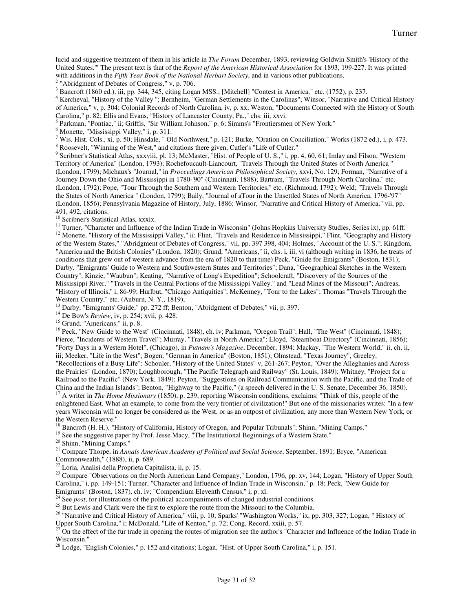lucid and suggestive treatment of them in his article in *The Forum* December, 1893, reviewing Goldwin Smith's 'History of the United States.'" The present text is that of the *Report of the American Historical Association* for 1893, 199-227. It was printed with additions in the *Fifth Year Book of the National Herbart Society*, and in various other publications.

 $2$  "Abridgment of Debates of Congress," v, p. 706.

<sup>3</sup> Bancroft (1860 ed.), iii, pp. 344, 345, citing Logan MSS.; [Mitchell] "Contest in America," etc. (1752), p. 237.

<sup>4</sup> Kercheval, "History of the Valley ''; Bernheim, "German Settlements in the Carolinas"; Winsor, "Narrative and Critical History of America," v, p. 304; Colonial Records of North Carolina, iv, p. xx; Weston, "Documents Connected with the History of South Carolina," p. 82; Ellis and Evans, "History of Lancaster County, Pa.," chs. iii, xxvi.

<sup>5</sup> Parkman, "Pontiac," ii; Griffis, "Sir William Johnson," p. 6; Simms's "Frontiersmen of New York."

<sup>6</sup> Monette, "Mississippi Valley," i, p. 311.

<sup>7</sup> Wis. Hist. Cols., xi, p. 50; Hinsdale, " Old Northwest," p. 121; Burke, "Oration on Conciliation," Works (1872 ed.), i, p. 473.

<sup>8</sup> Roosevelt, "Winning of the West," and citations there given, Cutler's "Life of Cutler."

<sup>9</sup> Scribner's Statistical Atlas, xxxviii, pl. 13; McMaster, "Hist. of People of U. S.," i, pp. 4, 60, 61; Imlay and Filson, "Western Territory of America" (London, 1793); Rochefoucault-Liancourt, "Travels Through the United States of North America '' (London, 1799); Michaux's "Journal," in *Proceedings American Philosophical Society*, xxvi, No. 129; Forman, "Narrative of a Journey Down the Ohio and Mississippi in 1780-'90" (Cincinnati, 1888); Bartram, "Travels Through North Carolina," etc. (London, 1792); Pope, "Tour Through the Southern and Western Territories," etc. (Richmond, 1792); Weld; "Travels Through the States of North America " (London, 1799); Baily, "Journal of aTour in the Unsettled States of North America, 1796-'97" (London, 1856); Pennsylvania Magazine of History, July, 1886; Winsor, "Narrative and Critical History of America," vii, pp. 491, 492, citations.

<sup>10</sup> Scribner's Statistical Atlas, xxxix.

<sup>11</sup> Turner, "Character and Influence of the Indian Trade in Wisconsin" (Johns Hopkins University Studies, Series ix), pp. 61ff.  $12$  Monette, "History of the Mississippi Valley," ii; Flint, "Travels and Residence in Mississippi," Flint, "Geography and History of the Western States," "Abridgment of Debates of Congress," vii, pp. 397 398, 404; Holmes, "Account of the U. S."; Kingdom, "America and the British Colonies" (London, 1820); Grund, "Americans," ii, chs. i, iii, vi (although writing in 1836, he treats of conditions that grew out of western advance from the era of 1820 to that time) Peck, "Guide for Emigrants" (Boston, 1831); Darby, "Emigrants' Guide to Western and Southwestern States and Territories"; Dana, "Geographical Sketches in the Western Country"; Kinzie, "Waubun"; Keating, "Narrative of Long's Expedition"; Schoolcraft, "Discovery of the Sources of the Mississippi River," "Travels in the Central Portions of the Mississippi Valley." and "Lead Mines of the Missouri"; Andreas, "History of Illinois,'' i, 86-99; Hurlbut, "Chicago Antiquities"; McKenney, "Tour to the Lakes"; Thomas "Travels Through the Western Country," etc. (Auburn, N. Y., 1819),

<sup>13</sup> Darby, "Emigrants' Guide," pp. 272 ff; Benton, "Abridgment of Debates," vii, p. 397.

<sup>14</sup> De Bow's *Review*, iv, p. 254; xvii, p. 428.

<sup>15</sup> Grund. "Americans." ii, p. 8.

<sup>16</sup> Peck, "New Guide to the West" (Cincinnati, 1848), ch. iv; Parkman, "Oregon Trail"; Hall, "The West" (Cincinnati, 1848); Pierce, "Incidents of Western Travel"; Murray, "Travels in Norrh America"; Lloyd, "Steamboat Directory" (Cincinnati, 1856); "Forty Days in a Western Hotel", (Chicago), in *Putnam's Magazine*, December, 1894; Mackay, "The Western World," ii, ch. ii, iii; Meeker, "Life in the West"; Bogen, "German in America" (Boston, 1851); Olmstead, "Texas Journey", Greeley, "Recollections of a Busy Life"; Schouler, "History of the United States" v, 261-267; Peyton, "Over the Alleghanies and Across

the Prairies" (London, 1870); Loughborough, "The Pacific Telegraph and Railway" (St. Louis, 1849); Whitney, "Project for a Railroad to the Pacific" (New York, 1849); Peyton, "Suggestions on Railroad Communication with the Pacific, and the Trade of China and the Indian Islands"; Benton, "Highway to the Pacific," (a speech delivered in the U. S. Senate, December 36, 1850). <sup>17</sup> A writer in *The Home Missionary* (1850), p. 239, reporting Wisconsin conditions, exclaims: "Think of this, people of the

enlightened East. What an example, to come from the very frontier of civilization!" But one of the missionaries writes: "In a few years Wisconsin will no longer be considered as the West, or as an outpost of civilization, any more than Western New York, or the Western Reserve."

<sup>18</sup> Bancroft (H. H.), "History of California, History of Oregon, and Popular Tribunals"; Shinn, "Mining Camps."

<sup>19</sup> See the suggestive paper by Prof. Jesse Macy, "The Institutional Beginnings of a Western State."

<sup>20</sup> Shinn, "Mining Camps."

<sup>21</sup> Compare Thorpe, in *Annals American Academy of Political and Social Science*, September, 1891; Bryce, "American Commonwealth," (1888), ii, p. 689.

<sup>22</sup> Loria, Analisi della Proprieta Capitalista, ii, p. 15.

<sup>23</sup> Compare "Observations on the North American Land Company," London, 1796, pp. xv, 144; Logan, "History of Upper South Carolina,'' i, pp. 149-151; Turner, "Character and Influence of Indian Trade in Wisconsin," p. 18; Peck, "New Guide for Emigrants" (Boston, 1837), ch. iv; "Compendium Eleventh Census," i, p. xl.

24 See *post*, for illustrations of the political accompaniments of changed industrial conditions.

 $25$  But Lewis and Clark were the first to explore the route from the Missouri to the Columbia.

<sup>26</sup> "Narrative and Critical History of America," viii, p. 10; Sparks' "Washington Works," ix, pp. 303, 327; Logan, "History of Upper South Carolina," i; McDonald, "Life of Kenton," p. 72; Cong. Record, xxiii, p. 57.

 $27^{\prime}$  On the effect of the fur trade in opening the routes of migration see the author's "Character and Influence of the Indian Trade in Wisconsin."

<sup>28</sup> Lodge, "English Colonies," p. 152 and citations; Logan, "Hist. of Upper South Carolina," i, p. 151.